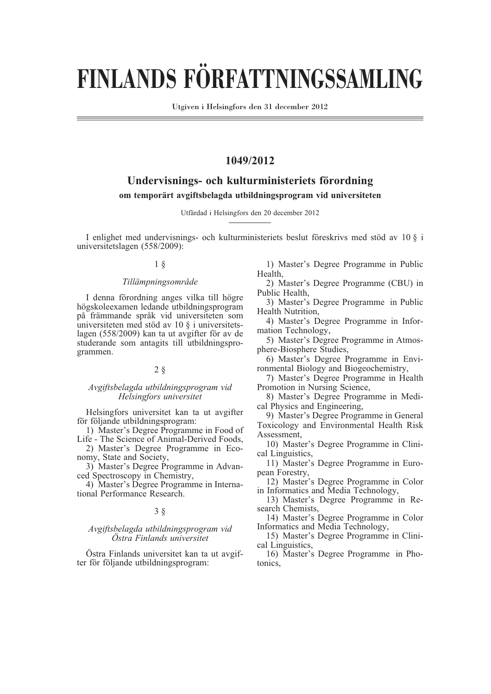# **FINLANDS FÖRFATTNINGSSAMLING**

Utgiven i Helsingfors den 31 december 2012

# **1049/2012**

# **Undervisnings- och kulturministeriets förordning om temporärt avgiftsbelagda utbildningsprogram vid universiteten**

Utfärdad i Helsingfors den 20 december 2012

I enlighet med undervisnings- och kulturministeriets beslut föreskrivs med stöd av 10 § i universitetslagen (558/2009):

#### 1 §

#### *Tillämpningsområde*

I denna förordning anges vilka till högre högskoleexamen ledande utbildningsprogram på främmande språk vid universiteten som universiteten med stöd av 10 § i universitetslagen (558/2009) kan ta ut avgifter för av de studerande som antagits till utbildningsprogrammen.

#### 2 §

#### *Avgiftsbelagda utbildningsprogram vid Helsingfors universitet*

Helsingfors universitet kan ta ut avgifter för följande utbildningsprogram:

1) Master's Degree Programme in Food of Life - The Science of Animal-Derived Foods,

2) Master's Degree Programme in Economy, State and Society,

3) Master's Degree Programme in Advanced Spectroscopy in Chemistry,

4) Master's Degree Programme in International Performance Research.

## 3 §

#### *Avgiftsbelagda utbildningsprogram vid Östra Finlands universitet*

Östra Finlands universitet kan ta ut avgifter för följande utbildningsprogram:

1) Master's Degree Programme in Public Health,

2) Master's Degree Programme (CBU) in Public Health,

3) Master's Degree Programme in Public Health Nutrition,

4) Master's Degree Programme in Information Technology,

5) Master's Degree Programme in Atmosphere-Biosphere Studies,

6) Master's Degree Programme in Environmental Biology and Biogeochemistry,

7) Master's Degree Programme in Health Promotion in Nursing Science,

8) Master's Degree Programme in Medical Physics and Engineering,

9) Master's Degree Programme in General Toxicology and Environmental Health Risk Assessment,

10) Master's Degree Programme in Clinical Linguistics,

11) Master's Degree Programme in European Forestry,

12) Master's Degree Programme in Color in Informatics and Media Technology,

13) Master's Degree Programme in Research Chemists,

14) Master's Degree Programme in Color Informatics and Media Technology,

15) Master's Degree Programme in Clinical Linguistics,

16) Master's Degree Programme in Photonics,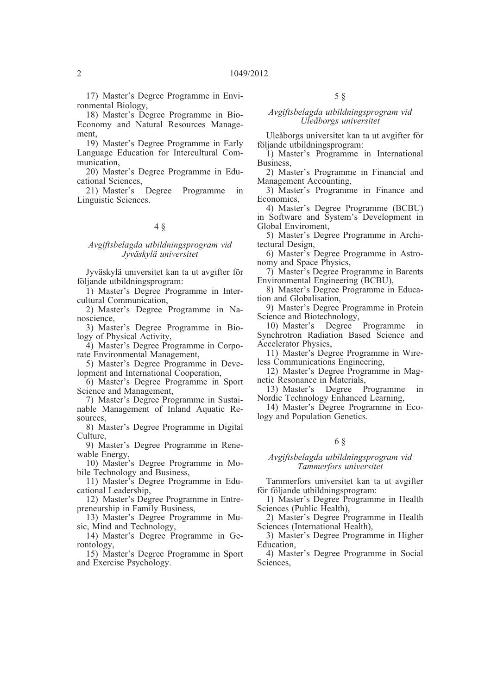17) Master's Degree Programme in Environmental Biology,

18) Master's Degree Programme in Bio-Economy and Natural Resources Management,

19) Master's Degree Programme in Early Language Education for Intercultural Communication,

20) Master's Degree Programme in Educational Sciences,<br>21) Master's Degree

21) Master's Degree Programme in Linguistic Sciences.

## 4 §

#### *Avgiftsbelagda utbildningsprogram vid Jyväskylä universitet*

Jyväskylä universitet kan ta ut avgifter för följande utbildningsprogram:

1) Master's Degree Programme in Intercultural Communication,

2) Master's Degree Programme in Nanoscience,

3) Master's Degree Programme in Biology of Physical Activity,

4) Master's Degree Programme in Corporate Environmental Management,

5) Master's Degree Programme in Development and International Cooperation,

6) Master's Degree Programme in Sport Science and Management,

7) Master's Degree Programme in Sustainable Management of Inland Aquatic Resources,

8) Master's Degree Programme in Digital Culture,

9) Master's Degree Programme in Renewable Energy,

10) Master's Degree Programme in Mobile Technology and Business,

11) Master's Degree Programme in Educational Leadership,

12) Master's Degree Programme in Entrepreneurship in Family Business,

13) Master's Degree Programme in Music, Mind and Technology,

14) Master's Degree Programme in Gerontology,

15) Master's Degree Programme in Sport and Exercise Psychology.

#### *Avgiftsbelagda utbildningsprogram vid Uleåborgs universitet*

Uleåborgs universitet kan ta ut avgifter för följande utbildningsprogram:

1) Master's Programme in International Business,

2) Master's Programme in Financial and Management Accounting,

3) Master's Programme in Finance and Economics,

4) Master's Degree Programme (BCBU) in Software and System's Development in Global Enviroment,

5) Master's Degree Programme in Architectural Design,

6) Master's Degree Programme in Astronomy and Space Physics,

7) Master's Degree Programme in Barents Environmental Engineering (BCBU),

8) Master's Degree Programme in Education and Globalisation,

9) Master's Degree Programme in Protein Science and Biotechnology,

10) Master's Degree Programme Synchrotron Radiation Based Science and Accelerator Physics,

11) Master's Degree Programme in Wireless Communications Engineering,

12) Master's Degree Programme in Magnetic Resonance in Materials,

13) Master's Degree Programme in Nordic Technology Enhanced Learning,

14) Master's Degree Programme in Ecology and Population Genetics.

#### 6 §

#### *Avgiftsbelagda utbildningsprogram vid Tammerfors universitet*

Tammerfors universitet kan ta ut avgifter för följande utbildningsprogram:

1) Master's Degree Programme in Health Sciences (Public Health),

2) Master's Degree Programme in Health Sciences (International Health),

3) Master's Degree Programme in Higher Education,

4) Master's Degree Programme in Social Sciences,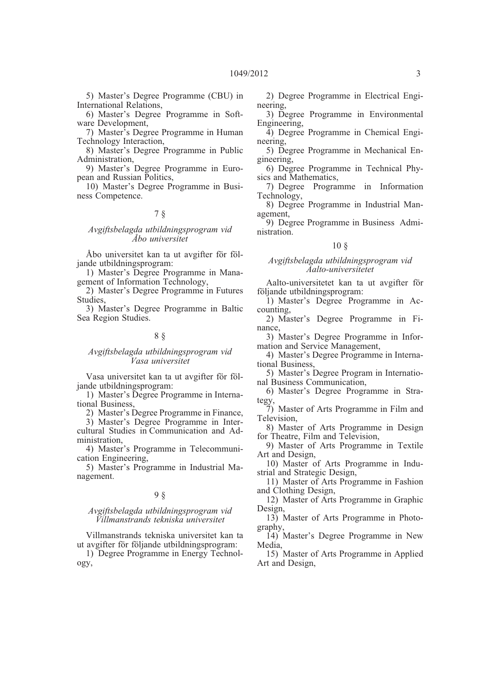5) Master's Degree Programme (CBU) in International Relations,

6) Master's Degree Programme in Software Development,

7) Master's Degree Programme in Human Technology Interaction,

8) Master's Degree Programme in Public Administration,

9) Master's Degree Programme in European and Russian Politics,

10) Master's Degree Programme in Business Competence.

# 7 §

#### *Avgiftsbelagda utbildningsprogram vid Åbo universitet*

Åbo universitet kan ta ut avgifter för följande utbildningsprogram:

1) Master's Degree Programme in Management of Information Technology,

2) Master's Degree Programme in Futures Studies,

3) Master's Degree Programme in Baltic Sea Region Studies.

# 8 §

#### *Avgiftsbelagda utbildningsprogram vid Vasa universitet*

Vasa universitet kan ta ut avgifter för följande utbildningsprogram:

1) Master's Degree Programme in International Business,

2) Master's Degree Programme in Finance,

3) Master's Degree Programme in Intercultural Studies in Communication and Administration,

4) Master's Programme in Telecommunication Engineering,

5) Master's Programme in Industrial Management.

## 9 §

#### *Avgiftsbelagda utbildningsprogram vid Villmanstrands tekniska universitet*

Villmanstrands tekniska universitet kan ta ut avgifter för följande utbildningsprogram:

1) Degree Programme in Energy Technology,

2) Degree Programme in Electrical Engineering,

- 3) Degree Programme in Environmental Engineering,
- 4) Degree Programme in Chemical Engineering,
- 5) Degree Programme in Mechanical Engineering,
- 6) Degree Programme in Technical Physics and Mathematics,
- 7) Degree Programme in Information Technology,
- 8) Degree Programme in Industrial Management,
- 9) Degree Programme in Business Administration.

# 10 §

#### *Avgiftsbelagda utbildningsprogram vid Aalto-universitetet*

Aalto-universitetet kan ta ut avgifter för följande utbildningsprogram:

- 1) Master's Degree Programme in Accounting,
- 2) Master's Degree Programme in Finance,

3) Master's Degree Programme in Information and Service Management,

4) Master's Degree Programme in International Business,

5) Master's Degree Program in International Business Communication,

6) Master's Degree Programme in Strategy,

7) Master of Arts Programme in Film and Television,

8) Master of Arts Programme in Design for Theatre, Film and Television,

9) Master of Arts Programme in Textile Art and Design,

10) Master of Arts Programme in Industrial and Strategic Design,

11) Master of Arts Programme in Fashion and Clothing Design,

12) Master of Arts Programme in Graphic Design,

13) Master of Arts Programme in Photography,

14) Master's Degree Programme in New Media,

15) Master of Arts Programme in Applied Art and Design,